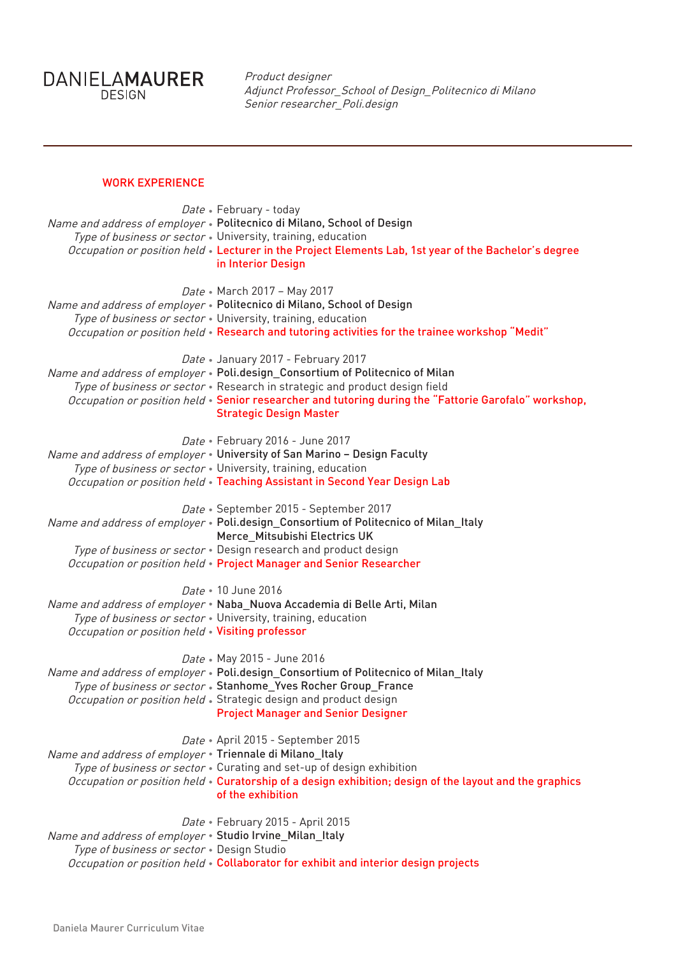DANIELAMAURER

Product designer Adjunct Professor\_School of Design\_Politecnico di Milano Senior researcher\_Poli.design

## WORK EXPERIENCE

| Date • February - today<br>Name and address of employer . Politecnico di Milano, School of Design<br>Type of business or sector . University, training, education<br>Occupation or position held . Lecturer in the Project Elements Lab, 1st year of the Bachelor's degree<br>in Interior Design                                               |
|------------------------------------------------------------------------------------------------------------------------------------------------------------------------------------------------------------------------------------------------------------------------------------------------------------------------------------------------|
| Date • March 2017 - May 2017<br>Name and address of employer . Politecnico di Milano, School of Design<br>Type of business or sector . University, training, education<br>Occupation or position held . Research and tutoring activities for the trainee workshop "Medit"                                                                      |
| Date • January 2017 - February 2017<br>Name and address of employer . Poli.design_Consortium of Politecnico of Milan<br>Type of business or sector . Research in strategic and product design field<br>Occupation or position held · Senior researcher and tutoring during the "Fattorie Garofalo" workshop,<br><b>Strategic Design Master</b> |
| Date • February 2016 - June 2017<br>Name and address of employer . University of San Marino - Design Faculty<br>Type of business or sector . University, training, education<br>Occupation or position held . Teaching Assistant in Second Year Design Lab                                                                                     |
| Date · September 2015 - September 2017<br>Name and address of employer . Poli.design_Consortium of Politecnico of Milan_Italy<br>Merce_Mitsubishi Electrics UK<br>Type of business or sector . Design research and product design<br>Occupation or position held . Project Manager and Senior Researcher                                       |
| Date . 10 June 2016<br>Name and address of employer . Naba_Nuova Accademia di Belle Arti, Milan<br>Type of business or sector . University, training, education<br>Occupation or position held . Visiting professor                                                                                                                            |
| Date • May 2015 - June 2016<br>Name and address of employer • Poli.design_Consortium of Politecnico of Milan_Italy<br>Type of business or sector . Stanhome_Yves Rocher Group_France<br>Occupation or position held · Strategic design and product design<br><b>Project Manager and Senior Designer</b>                                        |
| Date • April 2015 - September 2015<br>Name and address of employer . Triennale di Milano_Italy<br>Type of business or sector . Curating and set-up of design exhibition<br>Occupation or position held • Curatorship of a design exhibition; design of the layout and the graphics<br>of the exhibition                                        |
| Date • February 2015 - April 2015<br>Name and address of employer . Studio Irvine_Milan_Italy<br>Type of business or sector . Design Studio<br>Occupation or position held . Collaborator for exhibit and interior design projects                                                                                                             |